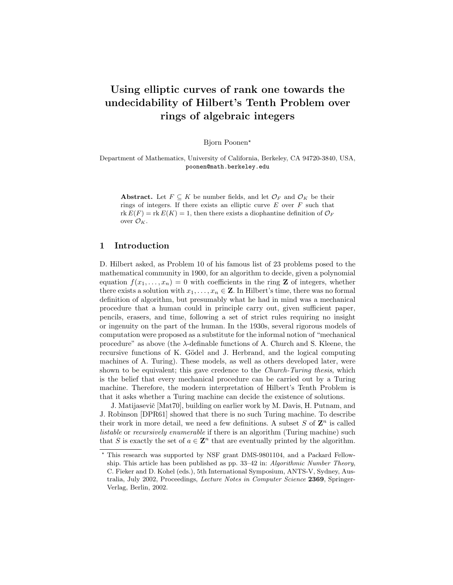# Using elliptic curves of rank one towards the undecidability of Hilbert's Tenth Problem over rings of algebraic integers

Bjorn Poonen?

Department of Mathematics, University of California, Berkeley, CA 94720-3840, USA, poonen@math.berkeley.edu

Abstract. Let  $F \subseteq K$  be number fields, and let  $\mathcal{O}_F$  and  $\mathcal{O}_K$  be their rings of integers. If there exists an elliptic curve  $E$  over  $F$  such that rk  $E(F) = \text{rk } E(K) = 1$ , then there exists a diophantine definition of  $\mathcal{O}_F$ over  $\mathcal{O}_K$ .

## 1 Introduction

D. Hilbert asked, as Problem 10 of his famous list of 23 problems posed to the mathematical community in 1900, for an algorithm to decide, given a polynomial equation  $f(x_1, \ldots, x_n) = 0$  with coefficients in the ring **Z** of integers, whether there exists a solution with  $x_1, \ldots, x_n \in \mathbb{Z}$ . In Hilbert's time, there was no formal definition of algorithm, but presumably what he had in mind was a mechanical procedure that a human could in principle carry out, given sufficient paper, pencils, erasers, and time, following a set of strict rules requiring no insight or ingenuity on the part of the human. In the 1930s, several rigorous models of computation were proposed as a substitute for the informal notion of "mechanical procedure" as above (the  $\lambda$ -definable functions of A. Church and S. Kleene, the recursive functions of K. Gödel and J. Herbrand, and the logical computing machines of A. Turing). These models, as well as others developed later, were shown to be equivalent; this gave credence to the *Church-Turing thesis*, which is the belief that every mechanical procedure can be carried out by a Turing machine. Therefore, the modern interpretation of Hilbert's Tenth Problem is that it asks whether a Turing machine can decide the existence of solutions.

J. Matijasevič [Mat70], building on earlier work by M. Davis, H. Putnam, and J. Robinson [DPR61] showed that there is no such Turing machine. To describe their work in more detail, we need a few definitions. A subset  $S$  of  $\mathbb{Z}^n$  is called listable or recursively enumerable if there is an algorithm (Turing machine) such that S is exactly the set of  $a \in \mathbb{Z}^n$  that are eventually printed by the algorithm.

<sup>?</sup> This research was supported by NSF grant DMS-9801104, and a Packard Fellowship. This article has been published as pp. 33–42 in: Algorithmic Number Theory, C. Fieker and D. Kohel (eds.), 5th International Symposium, ANTS-V, Sydney, Australia, July 2002, Proceedings, Lecture Notes in Computer Science 2369, Springer-Verlag, Berlin, 2002.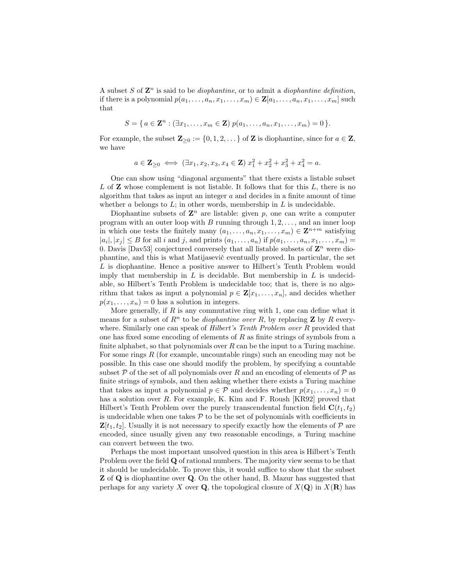A subset S of  $\mathbf{Z}^n$  is said to be *diophantine*, or to admit a *diophantine definition*, if there is a polynomial  $p(a_1, \ldots, a_n, x_1, \ldots, x_m) \in \mathbf{Z}[a_1, \ldots, a_n, x_1, \ldots, x_m]$  such that

$$
S = \{ a \in \mathbf{Z}^n : (\exists x_1, \dots, x_m \in \mathbf{Z}) \ p(a_1, \dots, a_n, x_1, \dots, x_m) = 0 \}.
$$

For example, the subset  $\mathbf{Z}_{\geq 0} := \{0, 1, 2, \dots\}$  of  $\mathbf{Z}$  is diophantine, since for  $a \in \mathbf{Z}$ , we have

$$
a \in \mathbf{Z}_{\geq 0} \iff (\exists x_1, x_2, x_3, x_4 \in \mathbf{Z}) \ x_1^2 + x_2^2 + x_3^2 + x_4^2 = a.
$$

One can show using "diagonal arguments" that there exists a listable subset  $L$  of  $\mathbb Z$  whose complement is not listable. It follows that for this  $L$ , there is no algorithm that takes as input an integer  $a$  and decides in a finite amount of time whether a belongs to  $L$ ; in other words, membership in  $L$  is undecidable.

Diophantine subsets of  $\mathbf{Z}^n$  are listable: given p, one can write a computer program with an outer loop with  $B$  running through  $1, 2, \ldots$ , and an inner loop in which one tests the finitely many  $(a_1, \ldots, a_n, x_1, \ldots, x_m) \in \mathbb{Z}^{n+m}$  satisfying  $|a_i|, |x_j| \leq B$  for all i and j, and prints  $(a_1, \ldots, a_n)$  if  $p(a_1, \ldots, a_n, x_1, \ldots, x_m)$ 0. Davis [Dav53] conjectured conversely that all listable subsets of  $\mathbf{Z}^n$  were diophantine, and this is what Matijaseviˇc eventually proved. In particular, the set L is diophantine. Hence a positive answer to Hilbert's Tenth Problem would imply that membership in  $L$  is decidable. But membership in  $L$  is undecidable, so Hilbert's Tenth Problem is undecidable too; that is, there is no algorithm that takes as input a polynomial  $p \in \mathbf{Z}[x_1, \ldots, x_n]$ , and decides whether  $p(x_1, \ldots, x_n) = 0$  has a solution in integers.

More generally, if  $R$  is any commutative ring with 1, one can define what it means for a subset of  $R^n$  to be *diophantine over* R, by replacing **Z** by R everywhere. Similarly one can speak of Hilbert's Tenth Problem over R provided that one has fixed some encoding of elements of  $R$  as finite strings of symbols from a finite alphabet, so that polynomials over  $R$  can be the input to a Turing machine. For some rings R (for example, uncountable rings) such an encoding may not be possible. In this case one should modify the problem, by specifying a countable subset P of the set of all polynomials over R and an encoding of elements of P as finite strings of symbols, and then asking whether there exists a Turing machine that takes as input a polynomial  $p \in \mathcal{P}$  and decides whether  $p(x_1, \ldots, x_n) = 0$ has a solution over R. For example, K. Kim and F. Roush [KR92] proved that Hilbert's Tenth Problem over the purely transcendental function field  $\mathbf{C}(t_1, t_2)$ is undecidable when one takes  $P$  to be the set of polynomials with coefficients in  $\mathbf{Z}[t_1, t_2]$ . Usually it is not necessary to specify exactly how the elements of  $\mathcal{P}$  are encoded, since usually given any two reasonable encodings, a Turing machine can convert between the two.

Perhaps the most important unsolved question in this area is Hilbert's Tenth Problem over the field **Q** of rational numbers. The majority view seems to be that it should be undecidable. To prove this, it would suffice to show that the subset Z of Q is diophantine over Q. On the other hand, B. Mazur has suggested that perhaps for any variety X over **Q**, the topological closure of  $X(\mathbf{Q})$  in  $X(\mathbf{R})$  has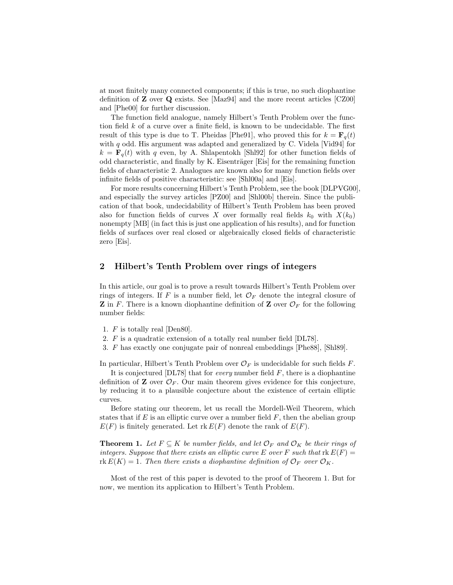at most finitely many connected components; if this is true, no such diophantine definition of Z over Q exists. See [Maz94] and the more recent articles [CZ00] and [Phe00] for further discussion.

The function field analogue, namely Hilbert's Tenth Problem over the function field  $k$  of a curve over a finite field, is known to be undecidable. The first result of this type is due to T. Pheidas [Phe91], who proved this for  $k = \mathbf{F}_q(t)$ with  $q$  odd. His argument was adapted and generalized by C. Videla [Vid94] for  $k = \mathbf{F}_q(t)$  with q even, by A. Shlapentokh [Shl92] for other function fields of odd characteristic, and finally by K. Eisenträger [Eis] for the remaining function fields of characteristic 2. Analogues are known also for many function fields over infinite fields of positive characteristic: see [Shl00a] and [Eis].

For more results concerning Hilbert's Tenth Problem, see the book [DLPVG00], and especially the survey articles [PZ00] and [Shl00b] therein. Since the publication of that book, undecidability of Hilbert's Tenth Problem has been proved also for function fields of curves X over formally real fields  $k_0$  with  $X(k_0)$ nonempty [MB] (in fact this is just one application of his results), and for function fields of surfaces over real closed or algebraically closed fields of characteristic zero [Eis].

## 2 Hilbert's Tenth Problem over rings of integers

In this article, our goal is to prove a result towards Hilbert's Tenth Problem over rings of integers. If F is a number field, let  $\mathcal{O}_F$  denote the integral closure of **Z** in F. There is a known diophantine definition of **Z** over  $\mathcal{O}_F$  for the following number fields:

- 1. F is totally real [Den80].
- 2. F is a quadratic extension of a totally real number field [DL78].
- 3. F has exactly one conjugate pair of nonreal embeddings [Phe88], [Shl89].

In particular, Hilbert's Tenth Problem over  $\mathcal{O}_F$  is undecidable for such fields F.

It is conjectured  $[DL78]$  that for *every* number field  $F$ , there is a diophantine definition of **Z** over  $\mathcal{O}_F$ . Our main theorem gives evidence for this conjecture, by reducing it to a plausible conjecture about the existence of certain elliptic curves.

Before stating our theorem, let us recall the Mordell-Weil Theorem, which states that if  $E$  is an elliptic curve over a number field  $F$ , then the abelian group  $E(F)$  is finitely generated. Let rk  $E(F)$  denote the rank of  $E(F)$ .

**Theorem 1.** Let  $F \subseteq K$  be number fields, and let  $\mathcal{O}_F$  and  $\mathcal{O}_K$  be their rings of integers. Suppose that there exists an elliptic curve E over F such that  $rk E(F)$  =  $rk E(K) = 1$ . Then there exists a diophantine definition of  $\mathcal{O}_F$  over  $\mathcal{O}_K$ .

Most of the rest of this paper is devoted to the proof of Theorem 1. But for now, we mention its application to Hilbert's Tenth Problem.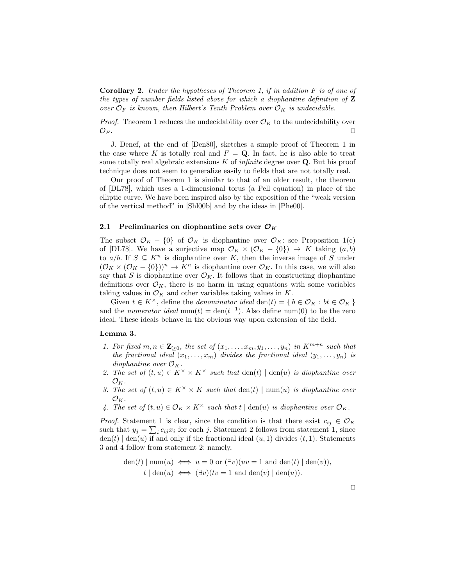**Corollary 2.** Under the hypotheses of Theorem 1, if in addition  $F$  is of one of the types of number fields listed above for which a diophantine definition of  $Z$ over  $\mathcal{O}_F$  is known, then Hilbert's Tenth Problem over  $\mathcal{O}_K$  is undecidable.

*Proof.* Theorem 1 reduces the undecidability over  $\mathcal{O}_K$  to the undecidability over  $\mathcal{O}_F$ .

J. Denef, at the end of [Den80], sketches a simple proof of Theorem 1 in the case where K is totally real and  $F = Q$ . In fact, he is also able to treat some totally real algebraic extensions  $K$  of *infinite* degree over  $Q$ . But his proof technique does not seem to generalize easily to fields that are not totally real.

Our proof of Theorem 1 is similar to that of an older result, the theorem of [DL78], which uses a 1-dimensional torus (a Pell equation) in place of the elliptic curve. We have been inspired also by the exposition of the "weak version of the vertical method" in [Shl00b] and by the ideas in [Phe00].

## 2.1 Preliminaries on diophantine sets over  $\mathcal{O}_K$

The subset  $\mathcal{O}_K - \{0\}$  of  $\mathcal{O}_K$  is diophantine over  $\mathcal{O}_K$ : see Proposition 1(c) of [DL78]. We have a surjective map  $\mathcal{O}_K \times (\mathcal{O}_K - \{0\}) \to K$  taking  $(a, b)$ to  $a/b$ . If  $S \subseteq K^n$  is diophantine over K, then the inverse image of S under  $(\mathcal{O}_K \times (\mathcal{O}_K - \{0\}))^n \to K^n$  is diophantine over  $\mathcal{O}_K$ . In this case, we will also say that S is diophantine over  $\mathcal{O}_K$ . It follows that in constructing diophantine definitions over  $\mathcal{O}_K$ , there is no harm in using equations with some variables taking values in  $\mathcal{O}_K$  and other variables taking values in K.

Given  $t \in K^{\times}$ , define the *denominator ideal* den $(t) = \{b \in \mathcal{O}_K : bt \in \mathcal{O}_K\}$ and the *numerator ideal* num(t) =  $den(t^{-1})$ . Also define num(0) to be the zero ideal. These ideals behave in the obvious way upon extension of the field.

## Lemma 3.

- 1. For fixed  $m, n \in \mathbb{Z}_{\geq 0}$ , the set of  $(x_1, \ldots, x_m, y_1, \ldots, y_n)$  in  $K^{m+n}$  such that the fractional ideal  $(x_1, \ldots, x_m)$  divides the fractional ideal  $(y_1, \ldots, y_n)$  is diophantine over  $\mathcal{O}_K$ .
- 2. The set of  $(t, u) \in K^{\times} \times K^{\times}$  such that  $den(t) | den(u)$  is diophantine over  $\mathcal{O}_K$ .
- 3. The set of  $(t, u) \in K^{\times} \times K$  such that  $den(t) \mid num(u)$  is diophantine over  $\mathcal{O}_K$ .
- 4. The set of  $(t, u) \in \mathcal{O}_K \times K^\times$  such that  $t | \text{den}(u)$  is diophantine over  $\mathcal{O}_K$ .

*Proof.* Statement 1 is clear, since the condition is that there exist  $c_{ij} \in \mathcal{O}_K$ such that  $y_j = \sum_i c_{ij} x_i$  for each j. Statement 2 follows from statement 1, since  $den(t) | den(u)$  if and only if the fractional ideal  $(u, 1)$  divides  $(t, 1)$ . Statements 3 and 4 follow from statement 2: namely,

$$
\text{den}(t) \mid \text{num}(u) \iff u = 0 \text{ or } (\exists v)(uv = 1 \text{ and } \text{den}(t) \mid \text{den}(v)),
$$
\n
$$
t \mid \text{den}(u) \iff (\exists v)(tv = 1 \text{ and } \text{den}(v) \mid \text{den}(u)).
$$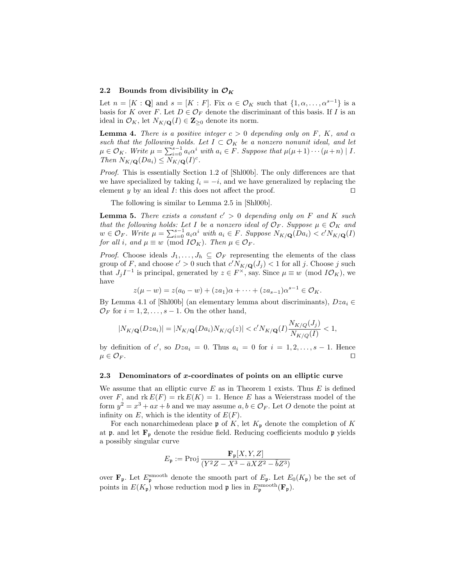#### 2.2 Bounds from divisibility in  $\mathcal{O}_K$

Let  $n = [K : \mathbf{Q}]$  and  $s = [K : F]$ . Fix  $\alpha \in \mathcal{O}_K$  such that  $\{1, \alpha, \ldots, \alpha^{s-1}\}$  is a basis for K over F. Let  $D \in \mathcal{O}_F$  denote the discriminant of this basis. If I is an ideal in  $\mathcal{O}_K$ , let  $N_{K/\mathbf{Q}}(I) \in \mathbf{Z}_{\geq 0}$  denote its norm.

**Lemma 4.** There is a positive integer  $c > 0$  depending only on F, K, and  $\alpha$ such that the following holds. Let  $I \subset \mathcal{O}_K$  be a nonzero nonunit ideal, and let  $\mu \in \mathcal{O}_K$ . Write  $\mu = \sum_{i=0}^{s-1} a_i \alpha^i$  with  $a_i \in F$ . Suppose that  $\mu(\mu+1) \cdots (\mu+n) | I$ . Then  $N_{K/\mathbf{Q}}(Da_i) \leq N_{K/\mathbf{Q}}(I)^c$ .

Proof. This is essentially Section 1.2 of [Shl00b]. The only differences are that we have specialized by taking  $l_i = -i$ , and we have generalized by replacing the element y by an ideal I: this does not affect the proof.  $\Box$ 

The following is similar to Lemma 2.5 in [Shl00b].

**Lemma 5.** There exists a constant  $c' > 0$  depending only on F and K such that the following holds: Let I be a nonzero ideal of  $\mathcal{O}_F$ . Suppose  $\mu \in \mathcal{O}_K$  and  $w \in \mathcal{O}_F$ . Write  $\mu = \sum_{i=0}^{s-1} a_i \alpha^i$  with  $a_i \in F$ . Suppose  $N_{K/\mathbf{Q}}(Da_i) < c' N_{K/\mathbf{Q}}(I)$ for all i, and  $\mu \equiv w \pmod{I\mathcal{O}_K}$ . Then  $\mu \in \mathcal{O}_F$ .

*Proof.* Choose ideals  $J_1, \ldots, J_h \subseteq \mathcal{O}_F$  representing the elements of the class group of F, and choose  $c' > 0$  such that  $c' N_{K/\mathbf{Q}}(J_j) < 1$  for all j. Choose j such that  $J_j I^{-1}$  is principal, generated by  $z \in F^{\times}$ , say. Since  $\mu \equiv w \pmod{I\mathcal{O}_K}$ , we have

$$
z(\mu - w) = z(a_0 - w) + (za_1)\alpha + \dots + (za_{s-1})\alpha^{s-1} \in \mathcal{O}_K.
$$

By Lemma 4.1 of [Shl00b] (an elementary lemma about discriminants),  $Dza_i \in$  $\mathcal{O}_F$  for  $i = 1, 2, \ldots, s - 1$ . On the other hand,

$$
|N_{K/\mathbf{Q}}(Dza_i)| = |N_{K/\mathbf{Q}}(Da_i)N_{K/Q}(z)| < c' N_{K/\mathbf{Q}}(I) \frac{N_{K/Q}(J_j)}{N_{K/Q}(I)} < 1,
$$

by definition of c', so  $Dza_i = 0$ . Thus  $a_i = 0$  for  $i = 1, 2, ..., s - 1$ . Hence  $\mu \in \mathcal{O}_F$ .

#### 2.3 Denominators of x-coordinates of points on an elliptic curve

We assume that an elliptic curve  $E$  as in Theorem 1 exists. Thus  $E$  is defined over F, and  $\text{rk } E(F) = \text{rk } E(K) = 1$ . Hence E has a Weierstrass model of the form  $y^2 = x^3 + ax + b$  and we may assume  $a, b \in \mathcal{O}_F$ . Let O denote the point at infinity on  $E$ , which is the identity of  $E(F)$ .

For each nonarchimedean place  $\mathfrak p$  of K, let  $K_{\mathfrak p}$  denote the completion of K at  $\mathfrak p$ . and let  $\mathbf F_{\mathfrak p}$  denote the residue field. Reducing coefficients modulo  $\mathfrak p$  yields a possibly singular curve

$$
E_{\mathfrak{p}} := \text{Proj } \frac{\mathbf{F}_{\mathfrak{p}}[X, Y, Z]}{(Y^2 Z - X^3 - \bar{a}XZ^2 - \bar{b}Z^3)}
$$

over  $\mathbf{F}_{\mathfrak{p}}$ . Let  $E_{\mathfrak{p}}^{\text{smooth}}$  denote the smooth part of  $E_{\mathfrak{p}}$ . Let  $E_0(K_{\mathfrak{p}})$  be the set of points in  $E(K_{\mathfrak{p}})$  whose reduction mod  $\mathfrak{p}$  lies in  $E_{\mathfrak{p}}^{\rm smooth}(\mathbf{F}_{\mathfrak{p}})$ .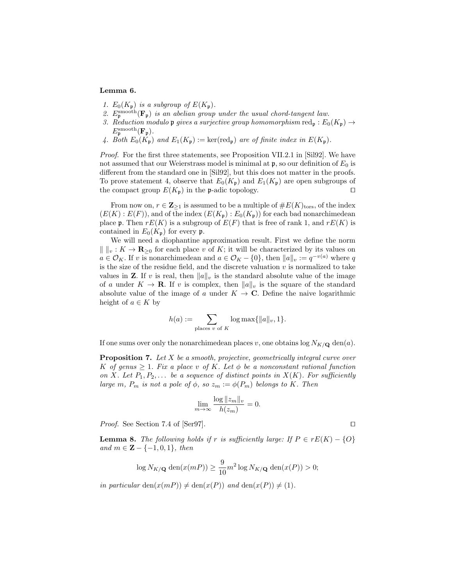## Lemma 6.

- 1.  $E_0(K_p)$  is a subgroup of  $E(K_p)$ .
- 2.  $E_{\mathfrak{p}}^{\rm smooth}(\mathbf{F}_{\mathfrak{p}})$  is an abelian group under the usual chord-tangent law.
- 3. Reduction modulo p gives a surjective group homomorphism red<sub>p</sub> :  $E_0(K_p) \rightarrow$  $E_{\mathfrak{p}}^{\mathrm{smooth}}(\mathbf{F}_{\mathfrak{p}}).$
- 4. Both  $E_0(K_p)$  and  $E_1(K_p) := \ker(\text{red}_p)$  are of finite index in  $E(K_p)$ .

Proof. For the first three statements, see Proposition VII.2.1 in [Sil92]. We have not assumed that our Weierstrass model is minimal at  $\mathfrak{p}$ , so our definition of  $E_0$  is different from the standard one in [Sil92], but this does not matter in the proofs. To prove statement 4, observe that  $E_0(K_p)$  and  $E_1(K_p)$  are open subgroups of the compact group  $E(K_p)$  in the p-adic topology.

From now on,  $r \in \mathbb{Z}_{\geq 1}$  is assumed to be a multiple of  $\#E(K)_{\text{tors}},$  of the index  $(E(K):E(F))$ , and of the index  $(E(K_{\mathfrak{p}}):E_0(K_{\mathfrak{p}}))$  for each bad nonarchimedean place **p**. Then  $rE(K)$  is a subgroup of  $E(F)$  that is free of rank 1, and  $rE(K)$  is contained in  $E_0(K_p)$  for every p.

We will need a diophantine approximation result. First we define the norm  $\| \cdot \|_v : K \to \mathbf{R}_{\geq 0}$  for each place v of K; it will be characterized by its values on  $a \in \mathcal{O}_K$ . If v is nonarchimedean and  $a \in \mathcal{O}_K - \{0\}$ , then  $||a||_v := q^{-v(a)}$  where q is the size of the residue field, and the discrete valuation  $v$  is normalized to take values in **Z**. If v is real, then  $||a||_v$  is the standard absolute value of the image of a under  $K \to \mathbf{R}$ . If v is complex, then  $||a||_v$  is the square of the standard absolute value of the image of a under  $K \to \mathbb{C}$ . Define the naive logarithmic height of  $a \in K$  by

$$
h(a) := \sum_{\text{places } v \text{ of } K} \log \max\{||a||_v, 1\}.
$$

If one sums over only the nonarchimedean places v, one obtains  $\log N_{K/\mathbf{Q}}$  den(a).

**Proposition 7.** Let  $X$  be a smooth, projective, geometrically integral curve over K of genus  $\geq 1$ . Fix a place v of K. Let  $\phi$  be a nonconstant rational function on X. Let  $P_1, P_2, \ldots$  be a sequence of distinct points in  $X(K)$ . For sufficiently large m,  $P_m$  is not a pole of  $\phi$ , so  $z_m := \phi(P_m)$  belongs to K. Then

$$
\lim_{m \to \infty} \frac{\log ||z_m||_v}{h(z_m)} = 0.
$$

*Proof.* See Section 7.4 of [Ser97].  $\Box$ 

**Lemma 8.** The following holds if r is sufficiently large: If  $P \in rE(K) - \{O\}$ and  $m \in \mathbf{Z} - \{-1, 0, 1\}$ , then

$$
\log N_{K/\mathbf{Q}} \operatorname{den}(x(mP)) \ge \frac{9}{10} m^2 \log N_{K/\mathbf{Q}} \operatorname{den}(x(P)) > 0;
$$

in particular  $den(x(mP)) \neq den(x(P))$  and  $den(x(P)) \neq (1)$ .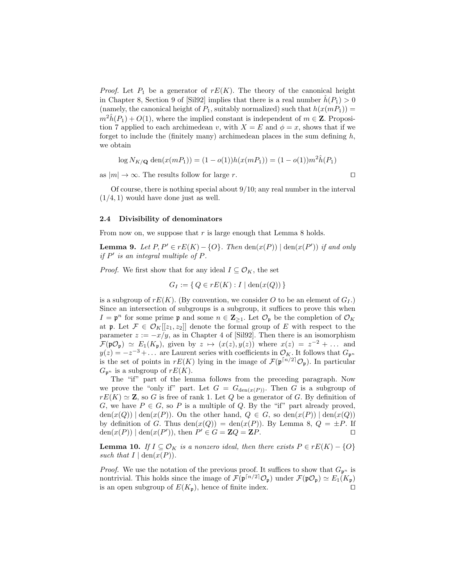*Proof.* Let  $P_1$  be a generator of  $rE(K)$ . The theory of the canonical height in Chapter 8, Section 9 of [Sil92] implies that there is a real number  $\hat{h}(P_1) > 0$ (namely, the canonical height of  $P_1$ , suitably normalized) such that  $h(x(mP_1)) =$  $m^{2}\hat{h}(P_{1})+O(1)$ , where the implied constant is independent of  $m \in \mathbb{Z}$ . Proposition 7 applied to each archimedean v, with  $X = E$  and  $\phi = x$ , shows that if we forget to include the (finitely many) archimedean places in the sum defining  $h$ , we obtain

$$
\log N_{K/\mathbf{Q}} \operatorname{den}(x(mP_1)) = (1 - o(1))h(x(mP_1)) = (1 - o(1))m^2 \hat{h}(P_1)
$$

as  $|m| \to \infty$ . The results follow for large r.

Of course, there is nothing special about  $9/10$ ; any real number in the interval  $(1/4, 1)$  would have done just as well.

### 2.4 Divisibility of denominators

From now on, we suppose that  $r$  is large enough that Lemma 8 holds.

**Lemma 9.** Let  $P, P' \in rE(K) - \{O\}$ . Then  $\text{den}(x(P)) \mid \text{den}(x(P'))$  if and only if  $P'$  is an integral multiple of  $P$ .

*Proof.* We first show that for any ideal  $I \subseteq \mathcal{O}_K$ , the set

$$
G_I := \{ Q \in rE(K) : I \mid \text{den}(x(Q)) \}
$$

is a subgroup of  $rE(K)$ . (By convention, we consider O to be an element of  $G_I$ .) Since an intersection of subgroups is a subgroup, it suffices to prove this when  $I = \mathfrak{p}^n$  for some prime  $\mathfrak{p}$  and some  $n \in \mathbb{Z}_{\geq 1}$ . Let  $\mathcal{O}_{\mathfrak{p}}$  be the completion of  $\mathcal{O}_K$ at p. Let  $\mathcal{F} \in \mathcal{O}_K[[z_1, z_2]]$  denote the formal group of E with respect to the parameter  $z := -x/y$ , as in Chapter 4 of [Sil92]. Then there is an isomorphism  $\mathcal{F}(\mathfrak{p}\mathcal{O}_{\mathfrak{p}}) \simeq E_1(K_{\mathfrak{p}})$ , given by  $z \mapsto (x(z), y(z))$  where  $x(z) = z^{-2} + \dots$  and  $y(z) = -z^{-3} + \dots$  are Laurent series with coefficients in  $\mathcal{O}_K$ . It follows that  $G_{\mathfrak{p}^n}$ is the set of points in  $rE(K)$  lying in the image of  $\mathcal{F}(\mathfrak{p}^{\lceil n/2 \rceil} \mathcal{O}_{\mathfrak{p}})$ . In particular  $G_{\mathfrak{p}^n}$  is a subgroup of  $rE(K)$ .

The "if" part of the lemma follows from the preceding paragraph. Now we prove the "only if" part. Let  $G = G_{den(x(P))}$ . Then G is a subgroup of  $rE(K) \simeq Z$ , so G is free of rank 1. Let Q be a generator of G. By definition of G, we have  $P \in G$ , so P is a multiple of Q. By the "if" part already proved,  $\text{den}(x(Q)) \mid \text{den}(x(P))$ . On the other hand,  $Q \in G$ , so  $\text{den}(x(P)) \mid \text{den}(x(Q))$ by definition of G. Thus den $(x(Q)) = \text{den}(x(P))$ . By Lemma 8,  $Q = \pm P$ . If  $den(x(P)) | den(x(P'))$ , then  $P' \in G = \mathbb{Z}Q = \mathbb{Z}P$ .

**Lemma 10.** If  $I \subseteq \mathcal{O}_K$  is a nonzero ideal, then there exists  $P \in rE(K) - \{O\}$ such that  $I | \text{den}(x(P)).$ 

*Proof.* We use the notation of the previous proof. It suffices to show that  $G_{p^n}$  is nontrivial. This holds since the image of  $\mathcal{F}(\mathfrak{p}^{\lceil n/2 \rceil} \mathcal{O}_{\mathfrak{p}})$  under  $\mathcal{F}(\mathfrak{p} \mathcal{O}_{\mathfrak{p}}) \simeq E_1(K_{\mathfrak{p}})$ is an open subgroup of  $E(K_p)$ , hence of finite index.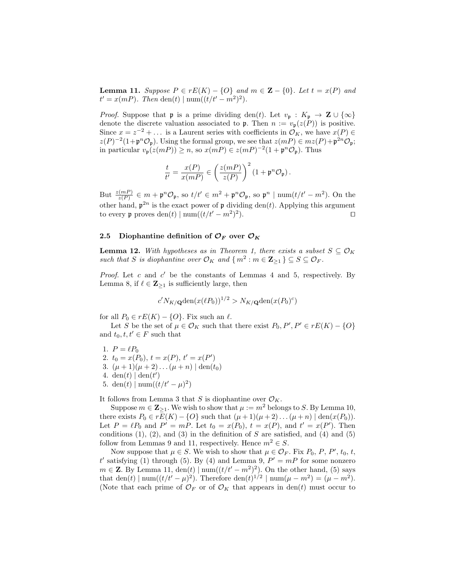**Lemma 11.** Suppose  $P \in rE(K) - \{O\}$  and  $m \in \mathbb{Z} - \{0\}$ . Let  $t = x(P)$  and  $t' = x(mP)$ . Then den(t) | num( $(t/t' - m^2)^2$ ).

*Proof.* Suppose that **p** is a prime dividing den(t). Let  $v_p : K_p \to \mathbb{Z} \cup \{ \infty \}$ denote the discrete valuation associated to **p**. Then  $n := v_p(z(P))$  is positive. Since  $x = z^{-2} + \dots$  is a Laurent series with coefficients in  $\mathcal{O}_K$ , we have  $x(P) \in$  $z(P)^{-2}(1+\mathfrak{p}^n\mathcal{O}_{\mathfrak{p}})$ . Using the formal group, we see that  $z(mP) \in mz(P)+\mathfrak{p}^{2n}\mathcal{O}_{\mathfrak{p}}$ ; in particular  $v_{\mathfrak{p}}(z(mP)) \geq n$ , so  $x(mP) \in z(mP)^{-2}(1 + \mathfrak{p}^n \mathcal{O}_{\mathfrak{p}})$ . Thus

$$
\frac{t}{t'} = \frac{x(P)}{x(mP)} \in \left(\frac{z(mP)}{z(P)}\right)^2 \left(1 + \mathfrak{p}^n \mathcal{O}_{\mathfrak{p}}\right).
$$

But  $\frac{z(mP)}{z(P)} \in m + \mathfrak{p}^n \mathcal{O}_{\mathfrak{p}},$  so  $t/t' \in m^2 + \mathfrak{p}^n \mathcal{O}_{\mathfrak{p}},$  so  $\mathfrak{p}^n \mid \text{num}(t/t'-m^2)$ . On the other hand,  $p^{2n}$  is the exact power of p dividing den(t). Applying this argument to every p proves  $\text{den}(t) | \text{num}((t/t'-m^2)^2)$ ).  $\qquad \qquad \Box$ 

## 2.5 Diophantine definition of  $\mathcal{O}_F$  over  $\mathcal{O}_K$

**Lemma 12.** With hypotheses as in Theorem 1, there exists a subset  $S \subseteq \mathcal{O}_K$ such that S is diophantine over  $\mathcal{O}_K$  and  $\{m^2 : m \in \mathbb{Z}_{\geq 1} \} \subseteq S \subseteq \mathcal{O}_F$ .

Proof. Let  $c$  and  $c'$  be the constants of Lemmas 4 and 5, respectively. By Lemma 8, if  $\ell \in \mathbb{Z}_{\geq 1}$  is sufficiently large, then

$$
c'N_{K/\mathbf{Q}}\text{den}(x(\ell P_0))^{1/2} > N_{K/\mathbf{Q}}\text{den}(x(P_0)^c)
$$

for all  $P_0 \in rE(K) - \{O\}$ . Fix such an  $\ell$ .

Let S be the set of  $\mu \in \mathcal{O}_K$  such that there exist  $P_0, P', P' \in rE(K) - \{O\}$ and  $t_0, t, t' \in F$  such that

1.  $P = \ell P_0$ 2.  $t_0 = x(P_0), t = x(P), t' = x(P')$ 3.  $(\mu + 1)(\mu + 2)...(\mu + n) | \text{den}(t_0)$ 4. den(t)  $\left| \text{ den}(t') \right|$ 5. den(t) | num( $(t/t'-\mu)^2$ )

It follows from Lemma 3 that S is diophantine over  $\mathcal{O}_K$ .

Suppose  $m \in \mathbb{Z}_{\geq 1}$ . We wish to show that  $\mu := m^2$  belongs to S. By Lemma 10, there exists  $P_0 \in rE(K) - \{O\}$  such that  $(\mu + 1)(\mu + 2) \dots (\mu + n) | \text{den}(x(P_0)).$ Let  $P = \ell P_0$  and  $P' = mP$ . Let  $t_0 = x(P_0), t = x(P)$ , and  $t' = x(P')$ . Then conditions  $(1)$ ,  $(2)$ , and  $(3)$  in the definition of S are satisfied, and  $(4)$  and  $(5)$ follow from Lemmas 9 and 11, respectively. Hence  $m^2 \in S$ .

Now suppose that  $\mu \in S$ . We wish to show that  $\mu \in \mathcal{O}_F$ . Fix  $P_0$ ,  $P$ ,  $P'$ ,  $t_0$ ,  $t$ , t' satisfying (1) through (5). By (4) and Lemma 9,  $P' = mP$  for some nonzero  $m \in \mathbb{Z}$ . By Lemma 11,  $\text{den}(t) \mid \text{num}((t/t'-m^2)^2)$ . On the other hand, (5) says that den(t) | num( $(t/t'-\mu)^2$ ). Therefore den(t)<sup>1/2</sup> | num( $\mu - m^2$ ) = ( $\mu - m^2$ ). (Note that each prime of  $\mathcal{O}_F$  or of  $\mathcal{O}_K$  that appears in den(t) must occur to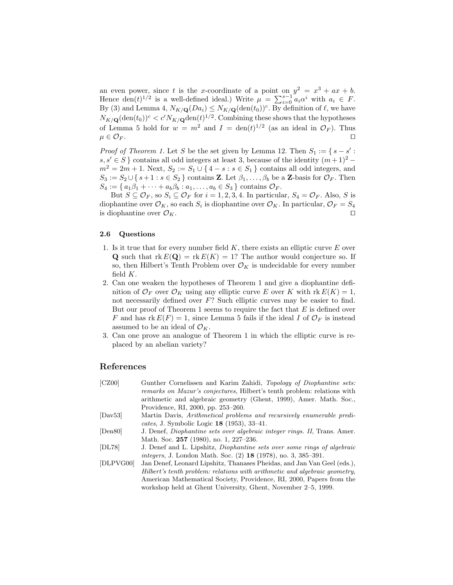an even power, since t is the x-coordinate of a point on  $y^2 = x^3 + ax + b$ . Hence  $den(t)^{1/2}$  is a well-defined ideal.) Write  $\mu = \sum_{i=0}^{s-1} a_i \alpha^i$  with  $a_i \in F$ . By (3) and Lemma 4,  $N_{K/\mathbf{Q}}(Da_i) \leq N_{K/\mathbf{Q}}(\text{den}(t_0))^c$ . By definition of  $\ell$ , we have  $N_{K/\mathbf{Q}}(\text{den}(t_0))^c < c' N_{K/\mathbf{Q}} \text{den}(t)^{1/2}$ . Combining these shows that the hypotheses of Lemma 5 hold for  $w = m^2$  and  $I = \text{den}(t)^{1/2}$  (as an ideal in  $\mathcal{O}_F$ ). Thus  $\mu \in \mathcal{O}_F$ .

*Proof of Theorem 1.* Let S be the set given by Lemma 12. Then  $S_1 := \{ s - s' : s \in S \mid s \in S \}$ s, s' ∈ S } contains all odd integers at least 3, because of the identity  $(m+1)^2$  –  $m^2 = 2m + 1$ . Next,  $S_2 := S_1 \cup \{4 - s : s \in S_1\}$  contains all odd integers, and  $S_3 := S_2 \cup \{s+1 : s \in S_2\}$  contains **Z**. Let  $\beta_1, \ldots, \beta_b$  be a **Z**-basis for  $\mathcal{O}_F$ . Then  $S_4 := \{a_1\beta_1 + \cdots + a_b\beta_b : a_1, \ldots, a_b \in S_3\}$  contains  $\mathcal{O}_F$ .

But  $S \subseteq \mathcal{O}_F$ , so  $S_i \subseteq \mathcal{O}_F$  for  $i = 1, 2, 3, 4$ . In particular,  $S_4 = \mathcal{O}_F$ . Also, S is diophantine over  $\mathcal{O}_K$ , so each  $S_i$  is diophantine over  $\mathcal{O}_K$ . In particular,  $\mathcal{O}_F = S_4$ is diophantine over  $\mathcal{O}_K$ .

#### 2.6 Questions

- 1. Is it true that for every number field  $K$ , there exists an elliptic curve  $E$  over **Q** such that  $rk E(Q) = rk E(K) = 1$ ? The author would conjecture so. If so, then Hilbert's Tenth Problem over  $\mathcal{O}_K$  is undecidable for every number field  $K$ .
- 2. Can one weaken the hypotheses of Theorem 1 and give a diophantine definition of  $\mathcal{O}_F$  over  $\mathcal{O}_K$  using any elliptic curve E over K with rk  $E(K) = 1$ , not necessarily defined over F? Such elliptic curves may be easier to find. But our proof of Theorem 1 seems to require the fact that  $E$  is defined over F and has  $rk E(F) = 1$ , since Lemma 5 fails if the ideal I of  $\mathcal{O}_F$  is instead assumed to be an ideal of  $\mathcal{O}_K$ .
- 3. Can one prove an analogue of Theorem 1 in which the elliptic curve is replaced by an abelian variety?

## References

| [CZ00]                   | Gunther Cornelissen and Karim Zahidi, Topology of Diophantine sets:<br>remarks on Mazur's conjectures, Hilbert's tenth problem: relations with |
|--------------------------|------------------------------------------------------------------------------------------------------------------------------------------------|
|                          | arithmetic and algebraic geometry (Ghent, 1999), Amer. Math. Soc.,                                                                             |
|                          | Providence, RI, 2000, pp. 253–260.                                                                                                             |
| $\left[$ Dav $53\right]$ | Martin Davis, <i>Arithmetical problems and recursively enumerable predi-</i>                                                                   |
|                          | cates, J. Symbolic Logic 18 (1953), 33-41.                                                                                                     |
| [Den 80]                 | J. Denef, <i>Diophantine sets over algebraic integer rings. II</i> , Trans. Amer.                                                              |
|                          | Math. Soc. 257 (1980), no. 1, 227-236.                                                                                                         |
| [DL78]                   | J. Denef and L. Lipshitz, <i>Diophantine sets over some rings of algebraic</i>                                                                 |
|                          | <i>integers</i> , J. London Math. Soc. (2) 18 (1978), no. 3, 385-391.                                                                          |
| [DLPVG00]                | Jan Denef, Leonard Lipshitz, Thanases Pheidas, and Jan Van Geel (eds.),                                                                        |
|                          | Hilbert's tenth problem: relations with arithmetic and algebraic geometry,                                                                     |
|                          | American Mathematical Society, Providence, RI, 2000, Papers from the                                                                           |
|                          | workshop held at Ghent University, Ghent, November 2–5, 1999.                                                                                  |